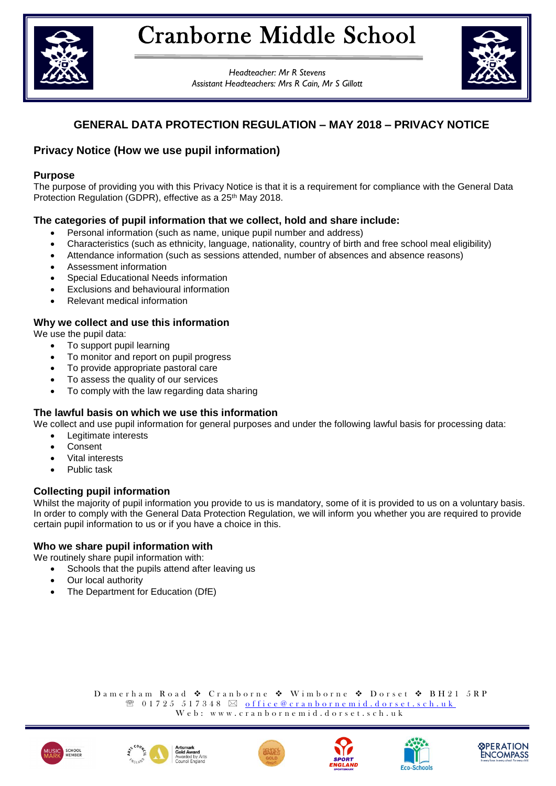

*Headteacher: Mr R Stevens Assistant Headteachers: Mrs R Cain, Mr S Gillott*



# **GENERAL DATA PROTECTION REGULATION – MAY 2018 – PRIVACY NOTICE**

# **Privacy Notice (How we use pupil information)**

### **Purpose**

The purpose of providing you with this Privacy Notice is that it is a requirement for compliance with the General Data Protection Regulation (GDPR), effective as a 25<sup>th</sup> May 2018.

# **The categories of pupil information that we collect, hold and share include:**

- Personal information (such as name, unique pupil number and address)
- Characteristics (such as ethnicity, language, nationality, country of birth and free school meal eligibility)
- Attendance information (such as sessions attended, number of absences and absence reasons)
- Assessment information
- Special Educational Needs information
- Exclusions and behavioural information
- Relevant medical information

# **Why we collect and use this information**

We use the pupil data:

- To support pupil learning
- To monitor and report on pupil progress
- To provide appropriate pastoral care
- To assess the quality of our services
- To comply with the law regarding data sharing

# **The lawful basis on which we use this information**

We collect and use pupil information for general purposes and under the following lawful basis for processing data:

- Legitimate interests
- **Consent**
- Vital interests
- Public task

# **Collecting pupil information**

Whilst the majority of pupil information you provide to us is mandatory, some of it is provided to us on a voluntary basis. In order to comply with the General Data Protection Regulation, we will inform you whether you are required to provide certain pupil information to us or if you have a choice in this.

# **Who we share pupil information with**

We routinely share pupil information with:

- Schools that the pupils attend after leaving us
- Our local authority
- The Department for Education (DfE)

Damerham Road ◆ Cranborne ◆ Wimborne ◆ Dorset ◆ BH21 5RP  $\mathcal{R}$  0 1 7 2 5 5 1 7 3 4 8  $\boxtimes$  of fice  $@$  cran b or n e mid.d or set.sch.uk  $W e b: w w w. c r a n b o r n e m i d. d o r s e t. s c h. u k$ 











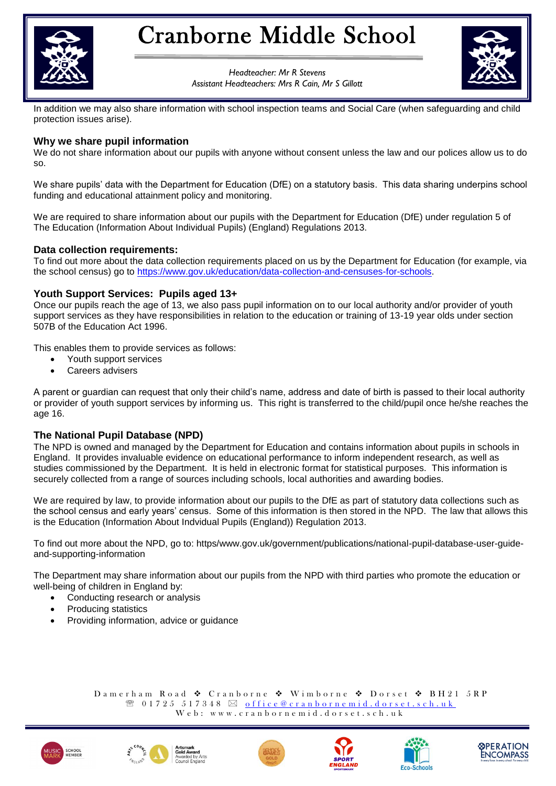

# Cranborne Middle School

*Headteacher: Mr R Stevens Assistant Headteachers: Mrs R Cain, Mr S Gillott*



In addition we may also share information with school inspection teams and Social Care (when safeguarding and child protection issues arise).

### **Why we share pupil information**

We do not share information about our pupils with anyone without consent unless the law and our polices allow us to do so.

We share pupils' data with the Department for Education (DfE) on a statutory basis. This data sharing underpins school funding and educational attainment policy and monitoring.

We are required to share information about our pupils with the Department for Education (DfE) under regulation 5 of The Education (Information About Individual Pupils) (England) Regulations 2013.

### **Data collection requirements:**

To find out more about the data collection requirements placed on us by the Department for Education (for example, via the school census) go to [https://www.gov.uk/education/data-collection-and-censuses-for-schools.](https://www.gov.uk/education/data-collection-and-censuses-for-schools)

### **Youth Support Services: Pupils aged 13+**

Once our pupils reach the age of 13, we also pass pupil information on to our local authority and/or provider of youth support services as they have responsibilities in relation to the education or training of 13-19 year olds under section 507B of the Education Act 1996.

This enables them to provide services as follows:

- Youth support services
- Careers advisers

A parent or guardian can request that only their child's name, address and date of birth is passed to their local authority or provider of youth support services by informing us. This right is transferred to the child/pupil once he/she reaches the age 16.

### **The National Pupil Database (NPD)**

The NPD is owned and managed by the Department for Education and contains information about pupils in schools in England. It provides invaluable evidence on educational performance to inform independent research, as well as studies commissioned by the Department. It is held in electronic format for statistical purposes. This information is securely collected from a range of sources including schools, local authorities and awarding bodies.

We are required by law, to provide information about our pupils to the DfE as part of statutory data collections such as the school census and early years' census. Some of this information is then stored in the NPD. The law that allows this is the Education (Information About Indvidual Pupils (England)) Regulation 2013.

To find out more about the NPD, go to: https/www.gov.uk/government/publications/national-pupil-database-user-guideand-supporting-information

The Department may share information about our pupils from the NPD with third parties who promote the education or well-being of children in England by:

- Conducting research or analysis
- Producing statistics
- Providing information, advice or guidance

Damerham Road ◆ Cranborne ◆ Wimborne ◆ Dorset ◆ BH21 5RP  $\mathcal{R}$  0 1 7 2 5 5 1 7 3 4 8  $\boxtimes$  of fice  $@$  cran b or n e mid.d or set.sch.uk Web: www.cranbornemid.dorset.sch.uk